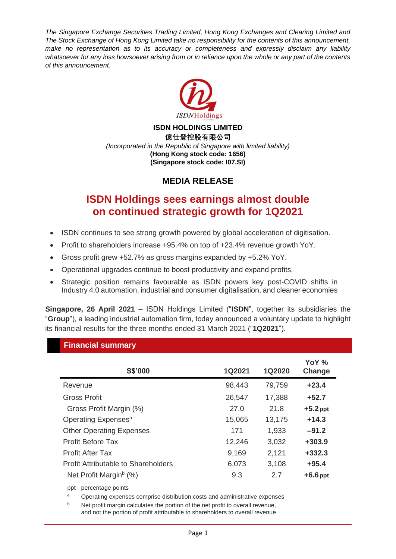*The Singapore Exchange Securities Trading Limited, Hong Kong Exchanges and Clearing Limited and The Stock Exchange of Hong Kong Limited take no responsibility for the contents of this announcement, make no representation as to its accuracy or completeness and expressly disclaim any liability whatsoever for any loss howsoever arising from or in reliance upon the whole or any part of the contents of this announcement.*



#### **ISDN HOLDINGS LIMITED 億仕登控股有限公司** *(Incorporated in the Republic of Singapore with limited liability)* **(Hong Kong stock code: 1656) (Singapore stock code: I07.SI)**

# **MEDIA RELEASE**

# **ISDN Holdings sees earnings almost double on continued strategic growth for 1Q2021**

- ISDN continues to see strong growth powered by global acceleration of digitisation.
- Profit to shareholders increase +95.4% on top of +23.4% revenue growth YoY.
- Gross profit grew +52.7% as gross margins expanded by +5.2% YoY.
- Operational upgrades continue to boost productivity and expand profits.
- Strategic position remains favourable as ISDN powers key post-COVID shifts in Industry 4.0 automation, industrial and consumer digitalisation, and cleaner economies

**Singapore, 26 April 2021** – ISDN Holdings Limited ("**ISDN**", together its subsidiaries the "**Group**"), a leading industrial automation firm, today announced a voluntary update to highlight its financial results for the three months ended 31 March 2021 ("**1Q2021**").

#### **Financial summary**

| 1Q2020 | Change                                                                                 |
|--------|----------------------------------------------------------------------------------------|
| 79,759 | $+23.4$                                                                                |
| 17,388 | $+52.7$                                                                                |
| 21.8   | $+5.2$ ppt                                                                             |
| 13,175 | $+14.3$                                                                                |
| 1,933  | $-91.2$                                                                                |
| 3,032  | $+303.9$                                                                               |
| 2,121  | $+332.3$                                                                               |
| 3,108  | $+95.4$                                                                                |
| 2.7    | $+6.6$ ppt                                                                             |
|        | 1Q2021<br>98,443<br>26,547<br>27.0<br>15,065<br>171<br>12,246<br>9,169<br>6,073<br>9.3 |

ppt percentage points

<sup>a</sup> Operating expenses comprise distribution costs and administrative expenses

b Net profit margin calculates the portion of the net profit to overall revenue, and not the portion of profit attributable to shareholders to overall revenue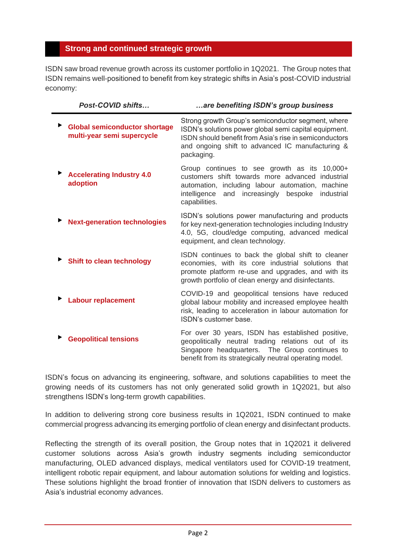## **Strong and continued strategic growth**

ISDN saw broad revenue growth across its customer portfolio in 1Q2021. The Group notes that ISDN remains well-positioned to benefit from key strategic shifts in Asia's post-COVID industrial economy:

| Post-COVID shifts                                                  | are benefiting ISDN's group business                                                                                                                                                                                                       |
|--------------------------------------------------------------------|--------------------------------------------------------------------------------------------------------------------------------------------------------------------------------------------------------------------------------------------|
| <b>Global semiconductor shortage</b><br>multi-year semi supercycle | Strong growth Group's semiconductor segment, where<br>ISDN's solutions power global semi capital equipment.<br>ISDN should benefit from Asia's rise in semiconductors<br>and ongoing shift to advanced IC manufacturing &<br>packaging.    |
| <b>Accelerating Industry 4.0</b><br>adoption                       | Group continues to see growth as its<br>$10,000+$<br>customers shift towards more advanced industrial<br>automation, including labour automation, machine<br>intelligence<br>increasingly<br>bespoke<br>and<br>industrial<br>capabilities. |
| <b>Next-generation technologies</b>                                | ISDN's solutions power manufacturing and products<br>for key next-generation technologies including Industry<br>4.0, 5G, cloud/edge computing, advanced medical<br>equipment, and clean technology.                                        |
| <b>Shift to clean technology</b>                                   | ISDN continues to back the global shift to cleaner<br>economies, with its core industrial solutions that<br>promote platform re-use and upgrades, and with its<br>growth portfolio of clean energy and disinfectants.                      |
| <b>Labour replacement</b>                                          | COVID-19 and geopolitical tensions have reduced<br>global labour mobility and increased employee health<br>risk, leading to acceleration in labour automation for<br>ISDN's customer base.                                                 |
| <b>Geopolitical tensions</b>                                       | For over 30 years, ISDN has established positive,<br>geopolitically neutral trading relations out of its<br>Singapore headquarters. The Group continues to<br>benefit from its strategically neutral operating model.                      |

ISDN's focus on advancing its engineering, software, and solutions capabilities to meet the growing needs of its customers has not only generated solid growth in 1Q2021, but also strengthens ISDN's long-term growth capabilities.

In addition to delivering strong core business results in 1Q2021, ISDN continued to make commercial progress advancing its emerging portfolio of clean energy and disinfectant products.

Reflecting the strength of its overall position, the Group notes that in 1Q2021 it delivered customer solutions across Asia's growth industry segments including semiconductor manufacturing, OLED advanced displays, medical ventilators used for COVID-19 treatment, intelligent robotic repair equipment, and labour automation solutions for welding and logistics. These solutions highlight the broad frontier of innovation that ISDN delivers to customers as Asia's industrial economy advances.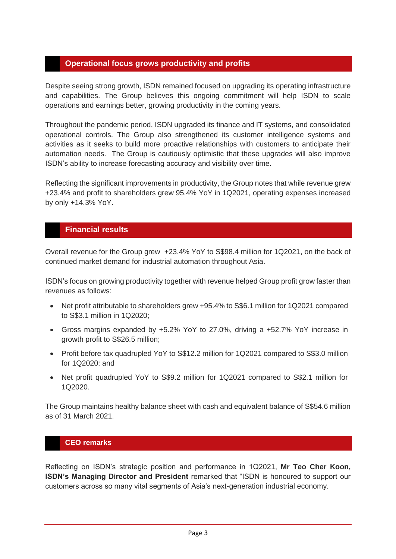## **Operational focus grows productivity and profits**

Despite seeing strong growth, ISDN remained focused on upgrading its operating infrastructure and capabilities. The Group believes this ongoing commitment will help ISDN to scale operations and earnings better, growing productivity in the coming years.

Throughout the pandemic period, ISDN upgraded its finance and IT systems, and consolidated operational controls. The Group also strengthened its customer intelligence systems and activities as it seeks to build more proactive relationships with customers to anticipate their automation needs. The Group is cautiously optimistic that these upgrades will also improve ISDN's ability to increase forecasting accuracy and visibility over time.

Reflecting the significant improvements in productivity, the Group notes that while revenue grew +23.4% and profit to shareholders grew 95.4% YoY in 1Q2021, operating expenses increased by only +14.3% YoY.

## **Financial results**

Overall revenue for the Group grew +23.4% YoY to S\$98.4 million for 1Q2021, on the back of continued market demand for industrial automation throughout Asia.

ISDN's focus on growing productivity together with revenue helped Group profit grow faster than revenues as follows:

- Net profit attributable to shareholders grew +95.4% to S\$6.1 million for 1Q2021 compared to S\$3.1 million in 1Q2020;
- Gross margins expanded by +5.2% YoY to 27.0%, driving a +52.7% YoY increase in growth profit to S\$26.5 million;
- Profit before tax quadrupled YoY to S\$12.2 million for 1Q2021 compared to S\$3.0 million for 1Q2020; and
- Net profit quadrupled YoY to S\$9.2 million for 1Q2021 compared to S\$2.1 million for 1Q2020.

The Group maintains healthy balance sheet with cash and equivalent balance of S\$54.6 million as of 31 March 2021.

## **CEO remarks**

Reflecting on ISDN's strategic position and performance in 1Q2021, **Mr Teo Cher Koon, ISDN's Managing Director and President** remarked that "ISDN is honoured to support our customers across so many vital segments of Asia's next-generation industrial economy.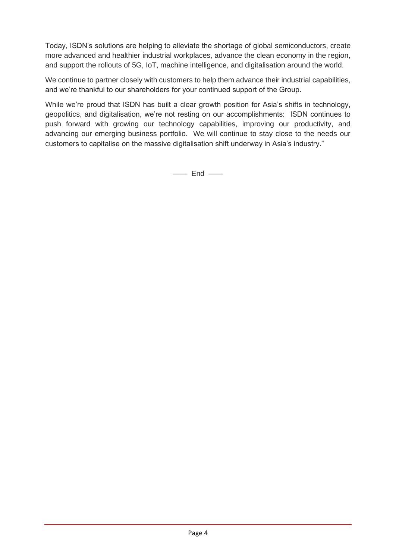Today, ISDN's solutions are helping to alleviate the shortage of global semiconductors, create more advanced and healthier industrial workplaces, advance the clean economy in the region, and support the rollouts of 5G, IoT, machine intelligence, and digitalisation around the world.

We continue to partner closely with customers to help them advance their industrial capabilities, and we're thankful to our shareholders for your continued support of the Group.

While we're proud that ISDN has built a clear growth position for Asia's shifts in technology, geopolitics, and digitalisation, we're not resting on our accomplishments: ISDN continues to push forward with growing our technology capabilities, improving our productivity, and advancing our emerging business portfolio. We will continue to stay close to the needs our customers to capitalise on the massive digitalisation shift underway in Asia's industry."

 $\equiv$  End  $\equiv$